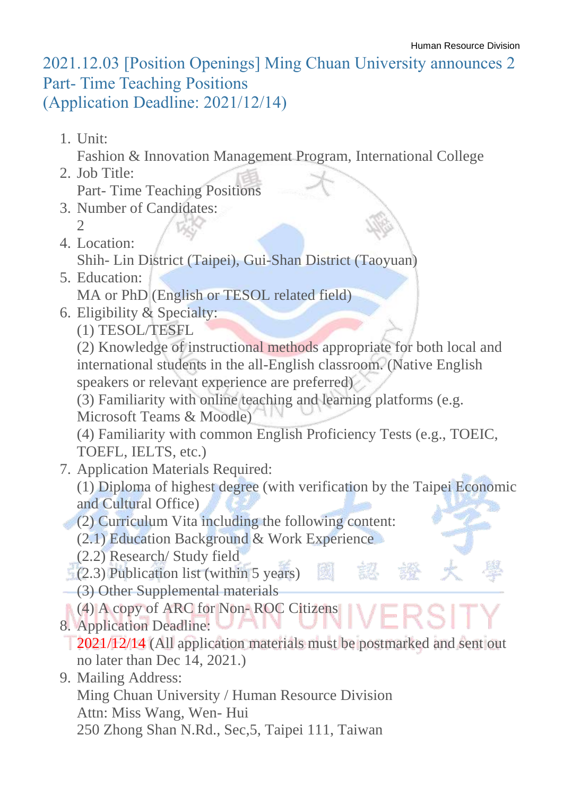## 2021.12.03 [Position Openings] Ming Chuan University announces 2 Part- Time Teaching Positions (Application Deadline: 2021/12/14)

1. Unit:

Fashion & Innovation Management Program, International College

- 2. Job Title: Part- Time Teaching Positions
- 3. Number of Candidates:  $\mathcal{D}$
- 4. Location:
	- Shih- Lin District (Taipei), Gui-Shan District (Taoyuan)
- 5. Education: MA or PhD (English or TESOL related field)
- 6. Eligibility & Specialty:
	- (1) TESOL/TESFL

(2) Knowledge of instructional methods appropriate for both local and international students in the all-English classroom. (Native English speakers or relevant experience are preferred)

(3) Familiarity with online teaching and learning platforms (e.g.

Microsoft Teams & Moodle)

(4) Familiarity with common English Proficiency Tests (e.g., TOEIC, TOEFL, IELTS, etc.)

- 7. Application Materials Required:
	- (1) Diploma of highest degree (with verification by the Taipei Economic and Cultural Office)

kit

(2) Curriculum Vita including the following content:

(2.1) Education Background & Work Experience

- (2.2) Research/ Study field
- $(2.3)$  Publication list (within 5 years)
- (3) Other Supplemental materials
- (4) A copy of ARC for Non-ROC Citizens
- 8. Application Deadline: ו ג 2021/12/14 (All application materials must be postmarked and sent out no later than Dec 14, 2021.)
- 9. Mailing Address:
	- Ming Chuan University / Human Resource Division Attn: Miss Wang, Wen- Hui
	- 250 Zhong Shan N.Rd., Sec,5, Taipei 111, Taiwan